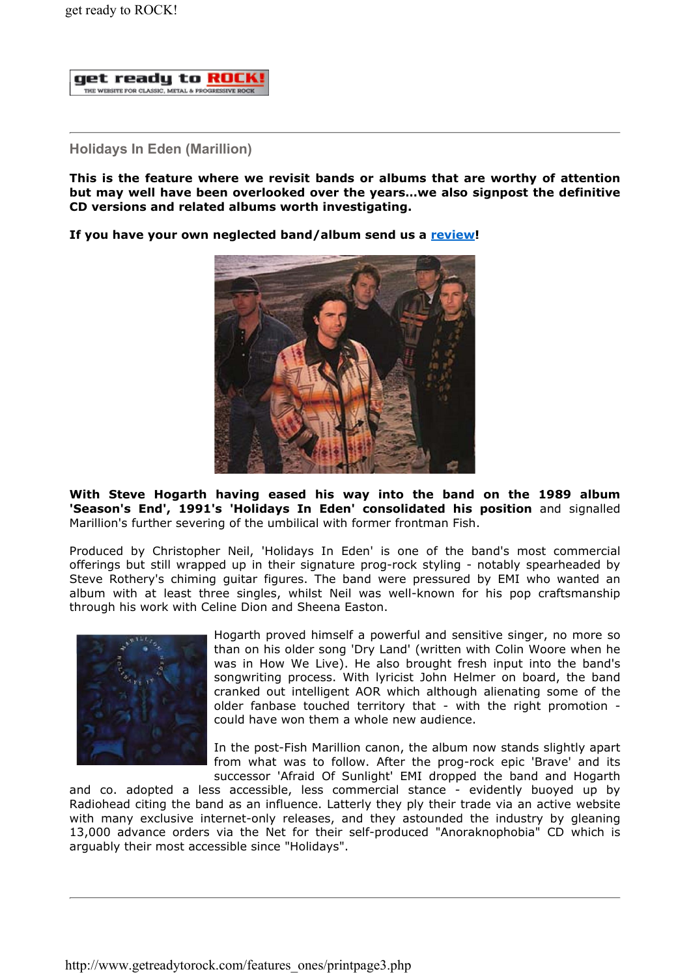

## Holidays In Eden (Marillion)

This is the feature where we revisit bands or albums that are worthy of attention but may well have been overlooked over the years…we also signpost the definitive CD versions and related albums worth investigating.

If you have your own neglected band/album send us a review!



With Steve Hogarth having eased his way into the band on the 1989 album 'Season's End', 1991's 'Holidays In Eden' consolidated his position and signalled Marillion's further severing of the umbilical with former frontman Fish.

Produced by Christopher Neil, 'Holidays In Eden' is one of the band's most commercial offerings but still wrapped up in their signature prog-rock styling - notably spearheaded by Steve Rothery's chiming guitar figures. The band were pressured by EMI who wanted an album with at least three singles, whilst Neil was well-known for his pop craftsmanship through his work with Celine Dion and Sheena Easton.



Hogarth proved himself a powerful and sensitive singer, no more so than on his older song 'Dry Land' (written with Colin Woore when he was in How We Live). He also brought fresh input into the band's songwriting process. With lyricist John Helmer on board, the band cranked out intelligent AOR which although alienating some of the older fanbase touched territory that - with the right promotion could have won them a whole new audience.

In the post-Fish Marillion canon, the album now stands slightly apart from what was to follow. After the prog-rock epic 'Brave' and its successor 'Afraid Of Sunlight' EMI dropped the band and Hogarth

and co. adopted a less accessible, less commercial stance - evidently buoyed up by Radiohead citing the band as an influence. Latterly they ply their trade via an active website with many exclusive internet-only releases, and they astounded the industry by gleaning 13,000 advance orders via the Net for their self-produced "Anoraknophobia" CD which is arguably their most accessible since "Holidays".